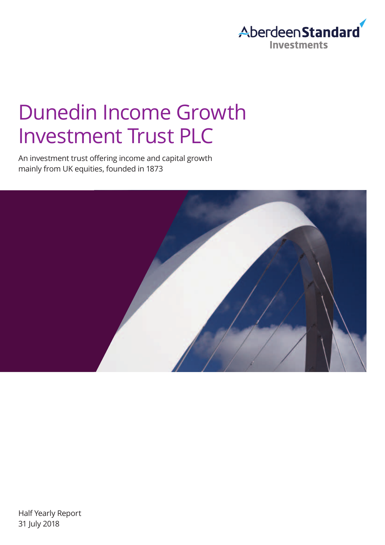

# Dunedin Income Growth Investment Trust PLC

An investment trust offering income and capital growth mainly from UK equities, founded in 1873

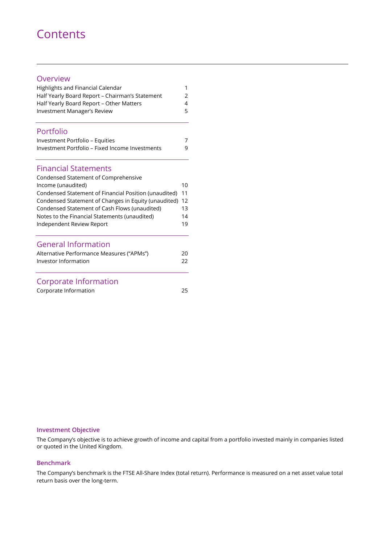### **Contents**

#### Overview

| Highlights and Financial Calendar               |               |
|-------------------------------------------------|---------------|
| Half Yearly Board Report - Chairman's Statement | $\mathcal{P}$ |
| Half Yearly Board Report – Other Matters        | 4             |
| Investment Manager's Review                     | 5.            |

#### Portfolio

| Investment Portfolio – Equities                 |   |
|-------------------------------------------------|---|
| Investment Portfolio - Fixed Income Investments | q |

#### Financial Statements

| Condensed Statement of Comprehensive                                                            |          |
|-------------------------------------------------------------------------------------------------|----------|
| Income (unaudited)                                                                              | 10       |
| Condensed Statement of Financial Position (unaudited)                                           | 11       |
| Condensed Statement of Changes in Equity (unaudited)                                            | 12       |
| Condensed Statement of Cash Flows (unaudited)                                                   | 13       |
| Notes to the Financial Statements (unaudited)                                                   | 14       |
| Independent Review Report                                                                       | 19       |
| <b>General Information</b><br>Alternative Performance Measures ("APMs")<br>Investor Information | 20<br>22 |
|                                                                                                 |          |

### Corporate Information

Corporate Information 25

#### **Investment Objective**

The Company's objective is to achieve growth of income and capital from a portfolio invested mainly in companies listed or quoted in the United Kingdom.

#### **Benchmark**

The Company's benchmark is the FTSE All-Share Index (total return). Performance is measured on a net asset value total return basis over the long-term.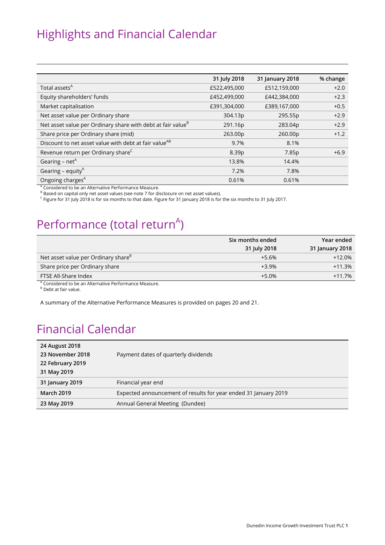### Highlights and Financial Calendar

|                                                                         | 31 July 2018 | 31 January 2018 | % change |
|-------------------------------------------------------------------------|--------------|-----------------|----------|
| Total assets <sup>A</sup>                                               | £522,495,000 | £512,159,000    | $+2.0$   |
| Equity shareholders' funds                                              | £452,499,000 | £442,384,000    | $+2.3$   |
| Market capitalisation                                                   | £391,304,000 | £389,167,000    | $+0.5$   |
| Net asset value per Ordinary share                                      | 304.13p      | 295.55p         | $+2.9$   |
| Net asset value per Ordinary share with debt at fair value <sup>B</sup> | 291.16p      | 283.04p         | $+2.9$   |
| Share price per Ordinary share (mid)                                    | 263.00p      | 260.00p         | $+1.2$   |
| Discount to net asset value with debt at fair value <sup>AB</sup>       | 9.7%         | 8.1%            |          |
| Revenue return per Ordinary share <sup>C</sup>                          | 8.39p        | 7.85p           | $+6.9$   |
| Gearing – net <sup>A</sup>                                              | 13.8%        | 14.4%           |          |
| Gearing – equity $A$                                                    | 7.2%         | 7.8%            |          |
| Ongoing charges <sup>A</sup>                                            | 0.61%        | 0.61%           |          |
| <sup>A</sup> Considered to be an Alternative Performance Measure.       |              |                 |          |

 $^{\text{\tiny{\textregistered}}}$  Based on capital only net asset values (see note 7 for disclosure on net asset values).

<sup>C</sup> Figure for 31 July 2018 is for six months to that date. Figure for 31 January 2018 is for the six months to 31 July 2017.

### Performance (total return<sup>A</sup>)

|                                                                                                       | Six months ended<br>31 July 2018 | Year ended<br>31 January 2018 |
|-------------------------------------------------------------------------------------------------------|----------------------------------|-------------------------------|
| Net asset value per Ordinary share <sup>B</sup>                                                       | $+5.6%$                          | $+12.0%$                      |
| Share price per Ordinary share                                                                        | $+3.9%$                          | $+11.3%$                      |
| FTSE All-Share Index                                                                                  | $+5.0%$                          | $+11.7%$                      |
| <sup>A</sup> Considered to be an Alternative Performance Measure.<br><sup>B</sup> Debt at fair value. |                                  |                               |

A summary of the Alternative Performance Measures is provided on pages 20 and 21.

### Financial Calendar

| 24 August 2018<br>23 November 2018<br>22 February 2019<br>31 May 2019 | Payment dates of quarterly dividends                            |
|-----------------------------------------------------------------------|-----------------------------------------------------------------|
| 31 January 2019                                                       | Financial year end                                              |
| <b>March 2019</b>                                                     | Expected announcement of results for year ended 31 January 2019 |
| 23 May 2019                                                           | Annual General Meeting (Dundee)                                 |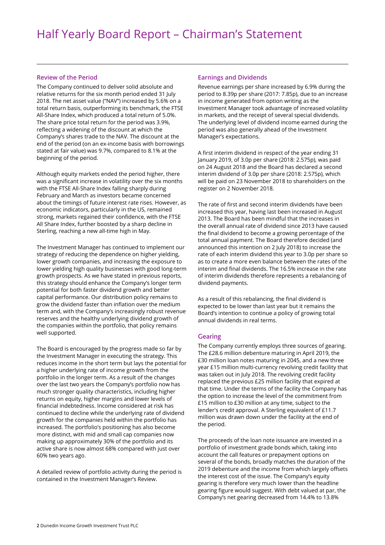#### **Review of the Period**

The Company continued to deliver solid absolute and relative returns for the six month period ended 31 July 2018. The net asset value ("NAV") increased by 5.6% on a total return basis, outperforming its benchmark, the FTSE All-Share Index, which produced a total return of 5.0%. The share price total return for the period was 3.9%, reflecting a widening of the discount at which the Company's shares trade to the NAV. The discount at the end of the period (on an ex-income basis with borrowings stated at fair value) was 9.7%, compared to 8.1% at the beginning of the period.

Although equity markets ended the period higher, there was a significant increase in volatility over the six months with the FTSE All-Share Index falling sharply during February and March as investors became concerned about the timings of future interest rate rises. However, as economic indicators, particularly in the US, remained strong, markets regained their confidence, with the FTSE All Share Index, further boosted by a sharp decline in Sterling, reaching a new all-time high in May.

The Investment Manager has continued to implement our strategy of reducing the dependence on higher yielding, lower growth companies, and increasing the exposure to lower yielding high quality businesses with good long-term growth prospects. As we have stated in previous reports, this strategy should enhance the Company's longer term potential for both faster dividend growth and better capital performance. Our distribution policy remains to grow the dividend faster than inflation over the medium term and, with the Company's increasingly robust revenue reserves and the healthy underlying dividend growth of the companies within the portfolio, that policy remains well supported.

The Board is encouraged by the progress made so far by the Investment Manager in executing the strategy. This reduces income in the short term but lays the potential for a higher underlying rate of income growth from the portfolio in the longer term. As a result of the changes over the last two years the Company's portfolio now has much stronger quality characteristics, including higher returns on equity, higher margins and lower levels of financial indebtedness. Income considered at risk has continued to decline while the underlying rate of dividend growth for the companies held within the portfolio has increased. The portfolio's positioning has also become more distinct, with mid and small cap companies now making up approximately 30% of the portfolio and its active share is now almost 68% compared with just over 60% two years ago.

A detailed review of portfolio activity during the period is contained in the Investment Manager's Review.

#### **Earnings and Dividends**

Revenue earnings per share increased by 6.9% during the period to 8.39p per share (2017: 7.85p), due to an increase in income generated from option writing as the Investment Manager took advantage of increased volatility in markets, and the receipt of several special dividends. The underlying level of dividend income earned during the period was also generally ahead of the Investment Manager's expectations.

A first interim dividend in respect of the year ending 31 January 2019, of 3.0p per share (2018: 2.575p), was paid on 24 August 2018 and the Board has declared a second interim dividend of 3.0p per share (2018: 2.575p), which will be paid on 23 November 2018 to shareholders on the register on 2 November 2018.

The rate of first and second interim dividends have been increased this year, having last been increased in August 2013. The Board has been mindful that the increases in the overall annual rate of dividend since 2013 have caused the final dividend to become a growing percentage of the total annual payment. The Board therefore decided (and announced this intention on 2 July 2018) to increase the rate of each interim dividend this year to 3.0p per share so as to create a more even balance between the rates of the interim and final dividends. The 16.5% increase in the rate of interim dividends therefore represents a rebalancing of dividend payments.

As a result of this rebalancing, the final dividend is expected to be lower than last year but it remains the Board's intention to continue a policy of growing total annual dividends in real terms.

**The Company currently employs three sources of gearing.** The £28.6 million debenture maturing in April 2019, the £30 million loan notes maturing in 2045, and a new three year £15 million multi-currency revolving credit facility that was taken out in July 2018. The revolving credit facility replaced the previous £25 million facility that expired at that time. Under the terms of the facility the Company has the option to increase the level of the commitment from £15 million to £30 million at any time, subject to the lender's credit approval. A Sterling equivalent of £11.7 million was drawn down under the facility at the end of the period.

The proceeds of the loan note issuance are invested in a portfolio of investment grade bonds which, taking into account the call features or prepayment options on several of the bonds, broadly matches the duration of the 2019 debenture and the income from which largely offsets the interest cost of the issue. The Company's equity gearing is therefore very much lower than the headline gearing figure would suggest. With debt valued at par, the Company's net gearing decreased from 14.4% to 13.8%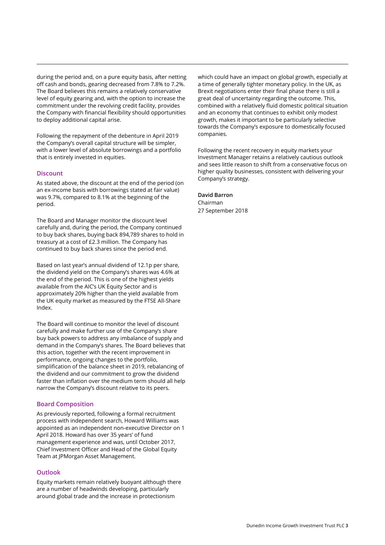during the period and, on a pure equity basis, after netting off cash and bonds, gearing decreased from 7.8% to 7.2%. The Board believes this remains a relatively conservative level of equity gearing and, with the option to increase the commitment under the revolving credit facility, provides the Company with financial flexibility should opportunities to deploy additional capital arise.

Following the repayment of the debenture in April 2019 the Company's overall capital structure will be simpler, with a lower level of absolute borrowings and a portfolio that is entirely invested in equities.

#### **Discount**

As stated above, the discount at the end of the period (on an ex-income basis with borrowings stated at fair value) was 9.7%, compared to 8.1% at the beginning of the period.

The Board and Manager monitor the discount level carefully and, during the period, the Company continued to buy back shares, buying back 894,789 shares to hold in treasury at a cost of £2.3 million. The Company has continued to buy back shares since the period end.

Based on last year's annual dividend of 12.1p per share, the dividend yield on the Company's shares was 4.6% at the end of the period. This is one of the highest yields available from the AIC's UK Equity Sector and is approximately 20% higher than the yield available from the UK equity market as measured by the FTSE All-Share Index.

The Board will continue to monitor the level of discount carefully and make further use of the Company's share buy back powers to address any imbalance of supply and demand in the Company's shares. The Board believes that this action, together with the recent improvement in performance, ongoing changes to the portfolio, simplification of the balance sheet in 2019, rebalancing of the dividend and our commitment to grow the dividend faster than inflation over the medium term should all help narrow the Company's discount relative to its peers.

#### **Board Composition**

As previously reported, following a formal recruitment process with independent search, Howard Williams was appointed as an independent non-executive Director on 1 April 2018. Howard has over 35 years' of fund management experience and was, until October 2017, Chief Investment Officer and Head of the Global Equity Team at JPMorgan Asset Management.

#### **Outlook**

Equity markets remain relatively buoyant although there are a number of headwinds developing, particularly around global trade and the increase in protectionism

which could have an impact on global growth, especially at a time of generally tighter monetary policy. In the UK, as Brexit negotiations enter their final phase there is still a great deal of uncertainty regarding the outcome. This, combined with a relatively fluid domestic political situation and an economy that continues to exhibit only modest growth, makes it important to be particularly selective towards the Company's exposure to domestically focused companies.

Following the recent recovery in equity markets your Investment Manager retains a relatively cautious outlook and sees little reason to shift from a conservative focus on higher quality businesses, consistent with delivering your Company's strategy.

**David Barron**  Chairman 27 September 2018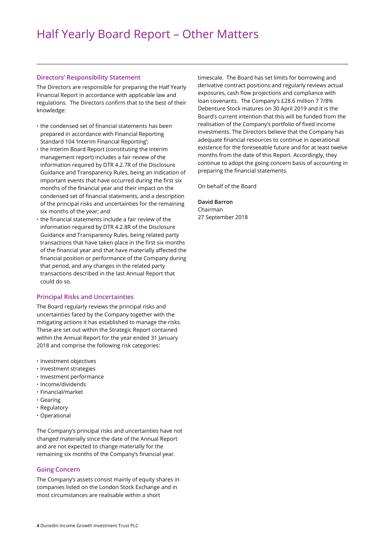#### **Directors' Responsibility Statement**

The Directors are responsible for preparing the Half Yearly Financial Report in accordance with applicable law and regulations. The Directors confirm that to the best of their knowledge:

- **·** the condensed set of financial statements has been prepared in accordance with Financial Reporting Standard 104 'Interim Financial Reporting';
- **·** the Interim Board Report (constituting the interim management report) includes a fair review of the information required by DTR 4.2.7R of the Disclosure Guidance and Transparency Rules, being an indication of important events that have occurred during the first six months of the financial year and their impact on the condensed set of financial statements, and a description of the principal risks and uncertainties for the remaining six months of the year; and
- **·** the financial statements include a fair review of the information required by DTR 4.2.8R of the Disclosure Guidance and Transparency Rules, being related party transactions that have taken place in the first six months of the financial year and that have materially affected the financial position or performance of the Company during that period, and any changes in the related party transactions described in the last Annual Report that could do so.

#### **Principal Risks and Uncertainties**

The Board regularly reviews the principal risks and uncertainties faced by the Company together with the mitigating actions it has established to manage the risks. These are set out within the Strategic Report contained within the Annual Report for the year ended 31 January 2018 and comprise the following risk categories:

- **·** Investment objectives
- **·** Investment strategies
- **·** Investment performance
- **·** Income/dividends
- **·** Financial/market
- **·** Gearing
- **·** Regulatory
- **·** Operational

The Company's principal risks and uncertainties have not changed materially since the date of the Annual Report and are not expected to change materially for the remaining six months of the Company's financial year.

#### **Going Concern**

The Company's assets consist mainly of equity shares in companies listed on the London Stock Exchange and in most circumstances are realisable within a short

timescale. The Board has set limits for borrowing and derivative contract positions and regularly reviews actual exposures, cash flow projections and compliance with loan covenants. The Company's £28.6 million 7 7/8% Debenture Stock matures on 30 April 2019 and it is the Board's current intention that this will be funded from the realisation of the Company's portfolio of fixed income investments. The Directors believe that the Company has adequate financial resources to continue in operational existence for the foreseeable future and for at least twelve months from the date of this Report. Accordingly, they continue to adopt the going concern basis of accounting in preparing the financial statements.

On behalf of the Board

#### **David Barron**

Chairman 27 September 2018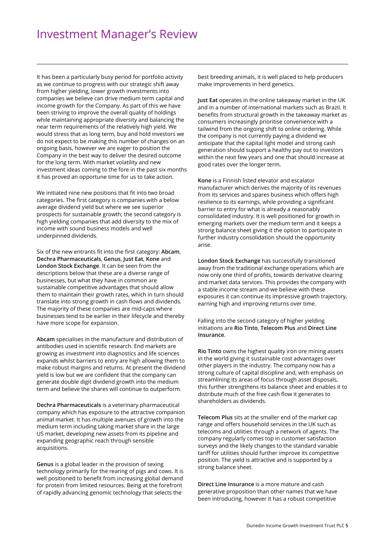It has been a particularly busy period for portfolio activity as we continue to progress with our strategic shift away from higher yielding, lower growth investments into companies we believe can drive medium term capital and income growth for the Company. As part of this we have been striving to improve the overall quality of holdings while maintaining appropriate diversity and balancing the near term requirements of the relatively high yield. We would stress that as long term, buy and hold investors we do not expect to be making this number of changes on an ongoing basis, however we are eager to position the Company in the best way to deliver the desired outcome for the long term. With market volatility and new investment ideas coming to the fore in the past six months it has proved an opportune time for us to take action.

We initiated nine new positions that fit into two broad categories. The first category is companies with a below average dividend yield but where we see superior prospects for sustainable growth; the second category is high yielding companies that add diversity to the mix of income with sound business models and well underpinned dividends.

Six of the new entrants fit into the first category: **Abcam**, **Dechra Pharmaceuticals**, **Genus**, **Just Eat**, **Kone** and **London Stock Exchange**. It can be seen from the descriptions below that these are a diverse range of businesses, but what they have in common are sustainable competitive advantages that should allow them to maintain their growth rates, which in turn should translate into strong growth in cash flows and dividends. The majority of these companies are mid-caps where businesses tend to be earlier in their lifecycle and thereby have more scope for expansion.

**Abcam** specialises in the manufacture and distribution of antibodies used in scientific research. End markets are growing as investment into diagnostics and life sciences expands whilst barriers to entry are high allowing them to make robust margins and returns. At present the dividend yield is low but we are confident that the company can generate double digit dividend growth into the medium term and believe the shares will continue to outperform.

**Dechra Pharmaceuticals** is a veterinary pharmaceutical company which has exposure to the attractive companion animal market. It has multiple avenues of growth into the medium term including taking market share in the large US market, developing new assets from its pipeline and expanding geographic reach through sensible acquisitions.

**Genus** is a global leader in the provision of sexing technology primarily for the rearing of pigs and cows. It is well positioned to benefit from increasing global demand for protein from limited resources. Being at the forefront of rapidly advancing genomic technology that selects the

best breeding animals, it is well placed to help producers make improvements in herd genetics.

**Just Eat** operates in the online takeaway market in the UK and in a number of international markets such as Brazil. It benefits from structural growth in the takeaway market as consumers increasingly prioritise convenience with a tailwind from the ongoing shift to online ordering. While the company is not currently paying a dividend we anticipate that the capital light model and strong cash generation should support a healthy pay out to investors within the next few years and one that should increase at good rates over the longer term.

**Kone** is a Finnish listed elevator and escalator manufacturer which derives the majority of its revenues from its services and spares business which offers high resilience to its earnings, while providing a significant barrier to entry for what is already a reasonably consolidated industry. It is well positioned for growth in emerging markets over the medium term and it keeps a strong balance sheet giving it the option to participate in further industry consolidation should the opportunity arise.

**London Stock Exchange** has successfully transitioned away from the traditional exchange operations which are now only one third of profits, towards derivative clearing and market data services. This provides the company with a stable income stream and we believe with these exposures it can continue its impressive growth trajectory, earning high and improving returns over time.

Falling into the second category of higher yielding initiations are **Rio Tinto**, **Telecom Plus** and **Direct Line Insurance**.

**Rio Tinto** owns the highest quality iron ore mining assets in the world giving it sustainable cost advantages over other players in the industry. The company now has a strong culture of capital discipline and, with emphasis on streamlining its areas of focus through asset disposals, this further strengthens its balance sheet and enables it to distribute much of the free cash flow it generates to shareholders as dividends.

**Telecom Plus** sits at the smaller end of the market cap range and offers household services in the UK such as telecoms and utilities through a network of agents. The company regularly comes top in customer satisfaction surveys and the likely changes to the standard variable tariff for utilities should further improve its competitive position. The yield is attractive and is supported by a strong balance sheet.

**Direct Line Insurance** is a more mature and cash generative proposition than other names that we have been introducing, however it has a robust competitive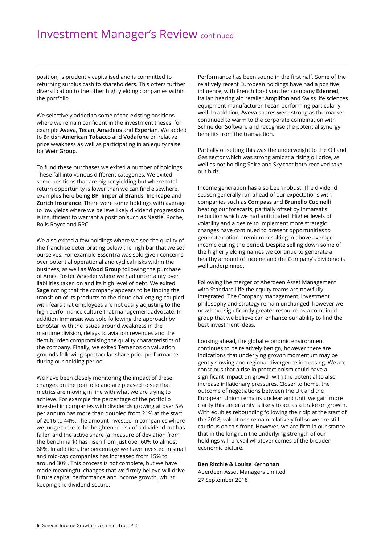### Investment Manager's Review continued

position, is prudently capitalised and is committed to returning surplus cash to shareholders. This offers further diversification to the other high yielding companies within the portfolio.

We selectively added to some of the existing positions where we remain confident in the investment theses, for example **Aveva**, **Tecan**, **Amadeus** and **Experian**. We added to **British American Tobacco** and **Vodafone** on relative price weakness as well as participating in an equity raise for **Weir Group**.

To fund these purchases we exited a number of holdings. These fall into various different categories. We exited some positions that are higher yielding but where total return opportunity is lower than we can find elsewhere, examples here being **BP**, **Imperial Brands**, **Inchcape** and **Zurich Insurance**. There were some holdings with average to low yields where we believe likely dividend progression is insufficient to warrant a position such as Nestlé, Roche, Rolls Royce and RPC.

We also exited a few holdings where we see the quality of the franchise deteriorating below the high bar that we set ourselves. For example **Essentra** was sold given concerns over potential operational and cyclical risks within the business, as well as **Wood Group** following the purchase of Amec Foster Wheeler where we had uncertainty over liabilities taken on and its high level of debt. We exited **Sage** noting that the company appears to be finding the transition of its products to the cloud challenging coupled with fears that employees are not easily adjusting to the high performance culture that management advocate. In addition **Inmarsat** was sold following the approach by EchoStar, with the issues around weakness in the maritime division, delays to aviation revenues and the debt burden compromising the quality characteristics of the company. Finally, we exited Temenos on valuation grounds following spectacular share price performance during our holding period.

We have been closely monitoring the impact of these changes on the portfolio and are pleased to see that metrics are moving in line with what we are trying to achieve. For example the percentage of the portfolio invested in companies with dividends growing at over 5% per annum has more than doubled from 21% at the start of 2016 to 44%. The amount invested in companies where we judge there to be heightened risk of a dividend cut has fallen and the active share (a measure of deviation from the benchmark) has risen from just over 60% to almost 68%. In addition, the percentage we have invested in small and mid-cap companies has increased from 15% to around 30%. This process is not complete, but we have made meaningful changes that we firmly believe will drive future capital performance and income growth, whilst keeping the dividend secure.

Performance has been sound in the first half. Some of the relatively recent European holdings have had a positive influence, with French food voucher company **Edenred**, Italian hearing aid retailer **Amplifon** and Swiss life sciences equipment manufacturer **Tecan** performing particularly well. In addition, **Aveva** shares were strong as the market continued to warm to the corporate combination with Schneider Software and recognise the potential synergy benefits from the transaction.

Partially offsetting this was the underweight to the Oil and Gas sector which was strong amidst a rising oil price, as well as not holding Shire and Sky that both received take out bids.

Income generation has also been robust. The dividend season generally ran ahead of our expectations with companies such as **Compass** and **Brunello Cucinelli** beating our forecasts, partially offset by Inmarsat's reduction which we had anticipated. Higher levels of volatility and a desire to implement more strategic changes have continued to present opportunities to generate option premium resulting in above average income during the period. Despite selling down some of the higher yielding names we continue to generate a healthy amount of income and the Company's dividend is well underpinned.

Following the merger of Aberdeen Asset Management with Standard Life the equity teams are now fully integrated. The Company management, investment philosophy and strategy remain unchanged, however we now have significantly greater resource as a combined group that we believe can enhance our ability to find the best investment ideas.

Looking ahead, the global economic environment continues to be relatively benign, however there are indications that underlying growth momentum may be gently slowing and regional divergence increasing. We are conscious that a rise in protectionism could have a significant impact on growth with the potential to also increase inflationary pressures. Closer to home, the outcome of negotiations between the UK and the European Union remains unclear and until we gain more clarity this uncertainty is likely to act as a brake on growth. With equities rebounding following their dip at the start of the 2018, valuations remain relatively full so we are still cautious on this front. However, we are firm in our stance that in the long run the underlying strength of our holdings will prevail whatever comes of the broader economic picture.

#### **Ben Ritchie & Louise Kernohan**

Aberdeen Asset Managers Limited 27 September 2018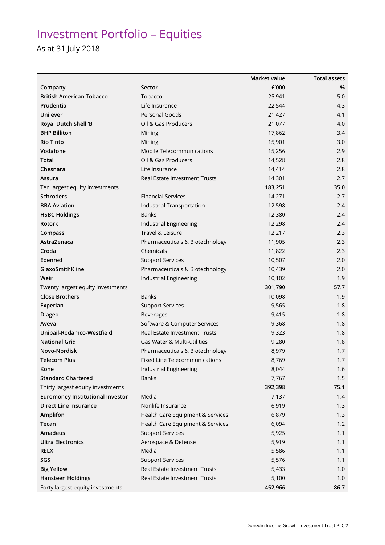## Investment Portfolio – Equities

### As at 31 July 2018

|                                         |                                      | Market value | <b>Total assets</b> |
|-----------------------------------------|--------------------------------------|--------------|---------------------|
| Company                                 | Sector                               | £'000        | %                   |
| <b>British American Tobacco</b>         | Tobacco                              | 25,941       | 5.0                 |
| Prudential                              | Life Insurance                       | 22,544       | 4.3                 |
| Unilever                                | Personal Goods                       | 21,427       | 4.1                 |
| Royal Dutch Shell 'B'                   | Oil & Gas Producers                  | 21,077       | 4.0                 |
| <b>BHP Billiton</b>                     | Mining                               | 17,862       | 3.4                 |
| <b>Rio Tinto</b>                        | Mining                               | 15,901       | 3.0                 |
| Vodafone                                | Mobile Telecommunications            | 15,256       | 2.9                 |
| <b>Total</b>                            | Oil & Gas Producers                  | 14,528       | 2.8                 |
| Chesnara                                | Life Insurance                       | 14,414       | 2.8                 |
| Assura                                  | Real Estate Investment Trusts        | 14,301       | 2.7                 |
| Ten largest equity investments          |                                      | 183,251      | 35.0                |
| <b>Schroders</b>                        | <b>Financial Services</b>            | 14,271       | 2.7                 |
| <b>BBA Aviation</b>                     | Industrial Transportation            | 12,598       | 2.4                 |
| <b>HSBC Holdings</b>                    | <b>Banks</b>                         | 12,380       | 2.4                 |
| <b>Rotork</b>                           | Industrial Engineering               | 12,298       | 2.4                 |
| Compass                                 | Travel & Leisure                     | 12,217       | 2.3                 |
| AstraZenaca                             | Pharmaceuticals & Biotechnology      | 11,905       | 2.3                 |
| Croda                                   | Chemicals                            | 11,822       | 2.3                 |
| Edenred                                 | <b>Support Services</b>              | 10,507       | 2.0                 |
| GlaxoSmithKline                         | Pharmaceuticals & Biotechnology      | 10,439       | 2.0                 |
| Weir                                    | Industrial Engineering               | 10,102       | 1.9                 |
| Twenty largest equity investments       |                                      | 301,790      | 57.7                |
| <b>Close Brothers</b>                   | <b>Banks</b>                         | 10,098       | 1.9                 |
| Experian                                | <b>Support Services</b>              | 9,565        | 1.8                 |
| <b>Diageo</b>                           | <b>Beverages</b>                     | 9,415        | 1.8                 |
| Aveva                                   | Software & Computer Services         | 9,368        | 1.8                 |
| Unibail-Rodamco-Westfield               | <b>Real Estate Investment Trusts</b> | 9,323        | 1.8                 |
| <b>National Grid</b>                    | Gas Water & Multi-utilities          | 9,280        | 1.8                 |
| Novo-Nordisk                            | Pharmaceuticals & Biotechnology      | 8,979        | 1.7                 |
| <b>Telecom Plus</b>                     | Fixed Line Telecommunications        | 8,769        | 1.7                 |
| Kone                                    | Industrial Engineering               | 8,044        | 1.6                 |
| <b>Standard Chartered</b>               | <b>Banks</b>                         | 7,767        | 1.5                 |
| Thirty largest equity investments       |                                      | 392,398      | 75.1                |
| <b>Euromoney Institutional Investor</b> | Media                                | 7,137        | 1.4                 |
| <b>Direct Line Insurance</b>            | Nonlife Insurance                    | 6,919        | 1.3                 |
| Amplifon                                | Health Care Equipment & Services     | 6,879        | 1.3                 |
| Tecan                                   | Health Care Equipment & Services     | 6,094        | 1.2                 |
| Amadeus                                 | <b>Support Services</b>              | 5,925        | 1.1                 |
| <b>Ultra Electronics</b>                | Aerospace & Defense                  | 5,919        | 1.1                 |
| <b>RELX</b>                             | Media                                | 5,586        | 1.1                 |
| SGS                                     | <b>Support Services</b>              | 5,576        | 1.1                 |
| <b>Big Yellow</b>                       | Real Estate Investment Trusts        | 5,433        | 1.0                 |
| <b>Hansteen Holdings</b>                | Real Estate Investment Trusts        | 5,100        | 1.0                 |
| Forty largest equity investments        |                                      | 452,966      | 86.7                |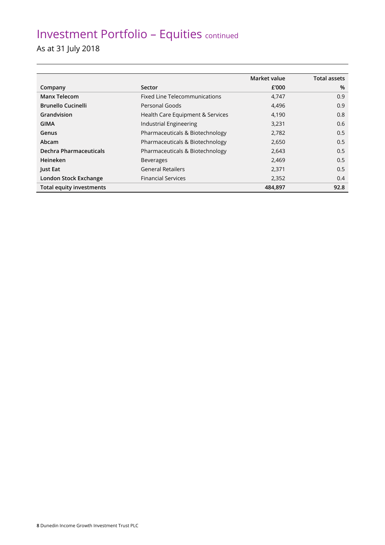### Investment Portfolio – Equities continued

As at 31 July 2018

|                           |                                      | Market value | <b>Total assets</b> |
|---------------------------|--------------------------------------|--------------|---------------------|
| Company                   | Sector                               | £'000        | %                   |
| <b>Manx Telecom</b>       | <b>Fixed Line Telecommunications</b> | 4,747        | 0.9                 |
| <b>Brunello Cucinelli</b> | Personal Goods                       | 4,496        | 0.9                 |
| Grandvision               | Health Care Equipment & Services     | 4,190        | 0.8                 |
| GIMA                      | Industrial Engineering               | 3,231        | 0.6                 |
| Genus                     | Pharmaceuticals & Biotechnology      | 2,782        | 0.5                 |
| Abcam                     | Pharmaceuticals & Biotechnology      | 2,650        | 0.5                 |
| Dechra Pharmaceuticals    | Pharmaceuticals & Biotechnology      | 2,643        | 0.5                 |
| Heineken                  | <b>Beverages</b>                     | 2,469        | 0.5                 |
| Just Eat                  | <b>General Retailers</b>             | 2,371        | 0.5                 |
| London Stock Exchange     | <b>Financial Services</b>            | 2,352        | 0.4                 |
| Total equity investments  |                                      | 484.897      | 92.8                |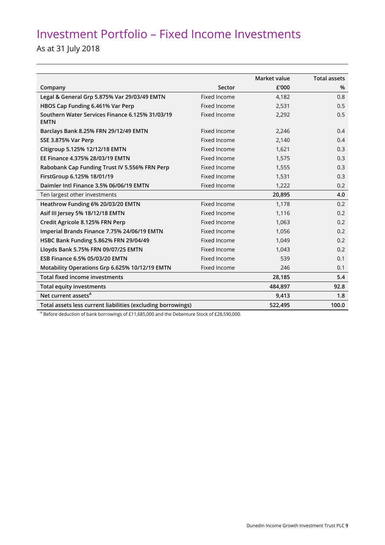### Investment Portfolio – Fixed Income Investments

As at 31 July 2018

|                                                                |                     | Market value | <b>Total assets</b> |
|----------------------------------------------------------------|---------------------|--------------|---------------------|
| Company                                                        | Sector              | £'000        | %                   |
| Legal & General Grp 5.875% Var 29/03/49 EMTN                   | <b>Fixed Income</b> | 4,182        | 0.8                 |
| HBOS Cap Funding 6.461% Var Perp                               | Fixed Income        | 2,531        | 0.5                 |
| Southern Water Services Finance 6.125% 31/03/19<br><b>EMTN</b> | <b>Fixed Income</b> | 2,292        | 0.5                 |
| Barclays Bank 8.25% FRN 29/12/49 EMTN                          | Fixed Income        | 2,246        | 0.4                 |
| SSE 3.875% Var Perp                                            | Fixed Income        | 2,140        | 0.4                 |
| Citigroup 5.125% 12/12/18 EMTN                                 | <b>Fixed Income</b> | 1,621        | 0.3                 |
| EE Finance 4.375% 28/03/19 EMTN                                | Fixed Income        | 1,575        | 0.3                 |
| Rabobank Cap Funding Trust IV 5.556% FRN Perp                  | Fixed Income        | 1,555        | 0.3                 |
| FirstGroup 6.125% 18/01/19                                     | Fixed Income        | 1,531        | 0.3                 |
| Daimler Intl Finance 3.5% 06/06/19 EMTN                        | Fixed Income        | 1,222        | 0.2                 |
| Ten largest other investments                                  |                     | 20,895       | 4.0                 |
| Heathrow Funding 6% 20/03/20 EMTN                              | Fixed Income        | 1,178        | 0.2                 |
| Asif III Jersey 5% 18/12/18 EMTN                               | Fixed Income        | 1,116        | 0.2                 |
| Credit Agricole 8.125% FRN Perp                                | Fixed Income        | 1,063        | 0.2                 |
| Imperial Brands Finance 7.75% 24/06/19 EMTN                    | Fixed Income        | 1,056        | 0.2                 |
| HSBC Bank Funding 5.862% FRN 29/04/49                          | Fixed Income        | 1,049        | 0.2                 |
| Lloyds Bank 5.75% FRN 09/07/25 EMTN                            | Fixed Income        | 1,043        | 0.2                 |
| ESB Finance 6.5% 05/03/20 EMTN                                 | Fixed Income        | 539          | 0.1                 |
| Motability Operations Grp 6.625% 10/12/19 EMTN                 | Fixed Income        | 246          | 0.1                 |
| <b>Total fixed income investments</b>                          |                     | 28,185       | 5.4                 |
| <b>Total equity investments</b>                                |                     | 484,897      | 92.8                |
| Net current assets <sup>A</sup>                                |                     | 9,413        | 1.8                 |
| Total assets less current liabilities (excluding borrowings)   |                     | 522,495      | 100.0               |

A Before deduction of bank borrowings of £11,685,000 and the Debenture Stock of £28,590,000.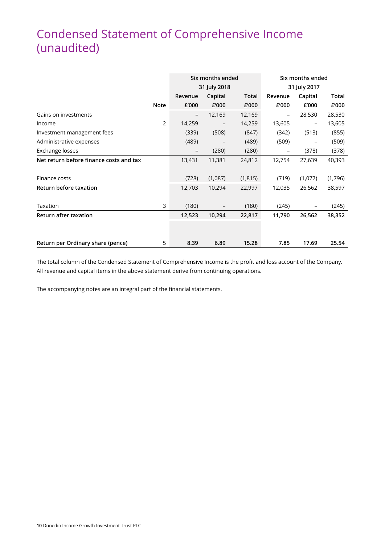### Condensed Statement of Comprehensive Income (unaudited)

|                                         |             |                          | Six months ended |          | Six months ended         |         |         |
|-----------------------------------------|-------------|--------------------------|------------------|----------|--------------------------|---------|---------|
|                                         |             |                          | 31 July 2018     |          | 31 July 2017             |         |         |
|                                         |             | Revenue                  | Capital          | Total    | Revenue                  | Capital | Total   |
|                                         | <b>Note</b> | £'000                    | £'000            | £'000    | £'000                    | £'000   | £'000   |
| Gains on investments                    |             | $\qquad \qquad -$        | 12,169           | 12,169   | $\qquad \qquad -$        | 28,530  | 28,530  |
| Income                                  | 2           | 14,259                   |                  | 14,259   | 13,605                   |         | 13,605  |
| Investment management fees              |             | (339)                    | (508)            | (847)    | (342)                    | (513)   | (855)   |
| Administrative expenses                 |             | (489)                    |                  | (489)    | (509)                    |         | (509)   |
| Exchange losses                         |             | $\overline{\phantom{m}}$ | (280)            | (280)    | $\overline{\phantom{m}}$ | (378)   | (378)   |
| Net return before finance costs and tax |             | 13,431                   | 11,381           | 24,812   | 12,754                   | 27,639  | 40,393  |
|                                         |             |                          |                  |          |                          |         |         |
| Finance costs                           |             | (728)                    | (1,087)          | (1, 815) | (719)                    | (1,077) | (1,796) |
| Return before taxation                  |             | 12,703                   | 10,294           | 22,997   | 12,035                   | 26,562  | 38,597  |
|                                         |             |                          |                  |          |                          |         |         |
| Taxation                                | 3           | (180)                    |                  | (180)    | (245)                    |         | (245)   |
| Return after taxation                   |             | 12,523                   | 10,294           | 22,817   | 11,790                   | 26,562  | 38,352  |
|                                         |             |                          |                  |          |                          |         |         |
| Return per Ordinary share (pence)       | 5           | 8.39                     | 6.89             | 15.28    | 7.85                     | 17.69   | 25.54   |

The total column of the Condensed Statement of Comprehensive Income is the profit and loss account of the Company. All revenue and capital items in the above statement derive from continuing operations.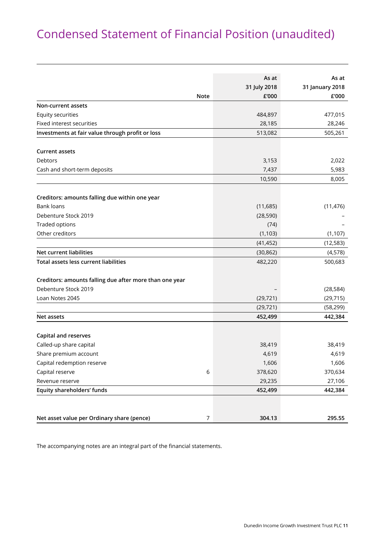### Condensed Statement of Financial Position (unaudited)

|                                                         | As at<br>31 July 2018 | As at                    |
|---------------------------------------------------------|-----------------------|--------------------------|
| <b>Note</b>                                             | £'000                 | 31 January 2018<br>£'000 |
| Non-current assets                                      |                       |                          |
| Equity securities                                       | 484,897               | 477,015                  |
| Fixed interest securities                               | 28,185                | 28,246                   |
| Investments at fair value through profit or loss        | 513,082               | 505,261                  |
|                                                         |                       |                          |
| <b>Current assets</b>                                   |                       |                          |
| <b>Debtors</b>                                          | 3,153                 | 2,022                    |
| Cash and short-term deposits                            | 7,437                 | 5,983                    |
|                                                         | 10,590                | 8,005                    |
|                                                         |                       |                          |
| Creditors: amounts falling due within one year          |                       |                          |
| <b>Bank loans</b>                                       | (11,685)              | (11, 476)                |
| Debenture Stock 2019                                    | (28, 590)             |                          |
| <b>Traded options</b>                                   | (74)                  |                          |
| Other creditors                                         | (1, 103)              | (1, 107)                 |
|                                                         | (41, 452)             | (12, 583)                |
| <b>Net current liabilities</b>                          | (30, 862)             | (4,578)                  |
| <b>Total assets less current liabilities</b>            | 482,220               | 500,683                  |
| Creditors: amounts falling due after more than one year |                       |                          |
| Debenture Stock 2019                                    |                       | (28, 584)                |
| Loan Notes 2045                                         | (29, 721)             | (29, 715)                |
|                                                         | (29, 721)             | (58, 299)                |
| Net assets                                              | 452,499               | 442,384                  |
|                                                         |                       |                          |
| <b>Capital and reserves</b>                             |                       |                          |
| Called-up share capital                                 | 38,419                | 38,419                   |
| Share premium account                                   | 4,619                 | 4,619                    |
| Capital redemption reserve                              | 1,606                 | 1,606                    |
| Capital reserve<br>6                                    | 378,620               | 370,634                  |
| Revenue reserve                                         | 29,235                | 27,106                   |
| Equity shareholders' funds                              | 452,499               | 442,384                  |
|                                                         |                       |                          |
| Net asset value per Ordinary share (pence)<br>7         | 304.13                | 295.55                   |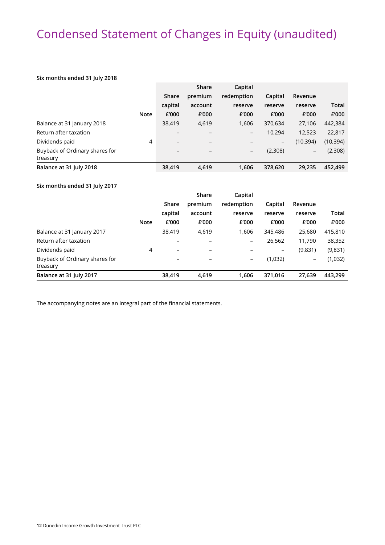### Condensed Statement of Changes in Equity (unaudited)

#### **Six months ended 31 July 2018**

|                                |             |                          | Share                    | Capital                  |         |                          |           |
|--------------------------------|-------------|--------------------------|--------------------------|--------------------------|---------|--------------------------|-----------|
|                                |             | Share                    | premium                  | redemption               | Capital | Revenue                  |           |
|                                |             | capital                  | account                  | reserve                  | reserve | reserve                  | Total     |
|                                | <b>Note</b> | £'000                    | £'000                    | £'000                    | £'000   | £'000                    | £'000     |
| Balance at 31 January 2018     |             | 38,419                   | 4,619                    | 1,606                    | 370,634 | 27,106                   | 442,384   |
| Return after taxation          |             |                          |                          | $\qquad \qquad -$        | 10,294  | 12,523                   | 22,817    |
| Dividends paid                 | 4           | $\overline{\phantom{0}}$ | $\overline{\phantom{0}}$ |                          | -       | (10, 394)                | (10, 394) |
| Buyback of Ordinary shares for |             | -                        |                          | $\overline{\phantom{a}}$ | (2,308) | $\overline{\phantom{a}}$ | (2,308)   |
| treasury                       |             |                          |                          |                          |         |                          |           |
| Balance at 31 July 2018        |             | 38,419                   | 4,619                    | 1,606                    | 378.620 | 29.235                   | 452,499   |

#### **Six months ended 31 July 2017**

|                                            |             |                 | Share   | Capital    |         |                          |         |
|--------------------------------------------|-------------|-----------------|---------|------------|---------|--------------------------|---------|
|                                            |             | Share           | premium | redemption | Capital | Revenue                  |         |
|                                            |             | capital         | account | reserve    | reserve | reserve                  | Total   |
|                                            | <b>Note</b> | £'000           | £'000   | £'000      | £'000   | £'000                    | £'000   |
| Balance at 31 January 2017                 |             | 38,419          | 4,619   | 1.606      | 345,486 | 25,680                   | 415,810 |
| Return after taxation                      |             |                 |         | -          | 26,562  | 11,790                   | 38,352  |
| Dividends paid                             | 4           | $\qquad \qquad$ |         |            | -       | (9,831)                  | (9,831) |
| Buyback of Ordinary shares for<br>treasury |             |                 |         | -          | (1,032) | $\overline{\phantom{m}}$ | (1,032) |
| Balance at 31 July 2017                    |             | 38,419          | 4.619   | 1.606      | 371.016 | 27.639                   | 443,299 |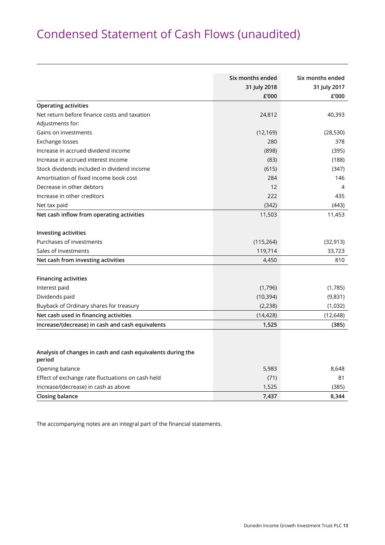### Condensed Statement of Cash Flows (unaudited)

|                                                                       | Six months ended<br>31 July 2018<br>£'000 | Six months ended<br>31 July 2017<br>£'000 |
|-----------------------------------------------------------------------|-------------------------------------------|-------------------------------------------|
| <b>Operating activities</b>                                           |                                           |                                           |
| Net return before finance costs and taxation                          | 24,812                                    | 40,393                                    |
| Adjustments for:                                                      |                                           |                                           |
| Gains on investments                                                  | (12, 169)                                 | (28, 530)                                 |
| Exchange losses                                                       | 280                                       | 378                                       |
| Increase in accrued dividend income                                   | (898)                                     | (395)                                     |
| Increase in accrued interest income                                   | (83)                                      | (188)                                     |
| Stock dividends included in dividend income                           | (615)                                     | (347)                                     |
| Amortisation of fixed income book cost                                | 284                                       | 146                                       |
| Decrease in other debtors                                             | 12                                        | 4                                         |
| Increase in other creditors                                           | 222                                       | 435                                       |
| Net tax paid                                                          | (342)                                     | (443)                                     |
| Net cash inflow from operating activities                             | 11,503                                    | 11,453                                    |
| <b>Investing activities</b>                                           |                                           |                                           |
| Purchases of investments                                              | (115, 264)                                | (32, 913)                                 |
| Sales of investments                                                  | 119,714                                   | 33,723                                    |
| Net cash from investing activities                                    | 4,450                                     | 810                                       |
| <b>Financing activities</b>                                           |                                           |                                           |
| Interest paid                                                         | (1,796)                                   | (1,785)                                   |
| Dividends paid                                                        | (10, 394)                                 | (9,831)                                   |
| Buyback of Ordinary shares for treasury                               | (2, 238)                                  | (1,032)                                   |
| Net cash used in financing activities                                 | (14, 428)                                 | (12, 648)                                 |
| Increase/(decrease) in cash and cash equivalents                      | 1,525                                     | (385)                                     |
| Analysis of changes in cash and cash equivalents during the<br>period |                                           |                                           |
| Opening balance                                                       | 5,983                                     | 8,648                                     |
| Effect of exchange rate fluctuations on cash held                     | (71)                                      | 81                                        |
| Increase/(decrease) in cash as above                                  | 1,525                                     | (385)                                     |
| Closing balance                                                       | 7,437                                     | 8,344                                     |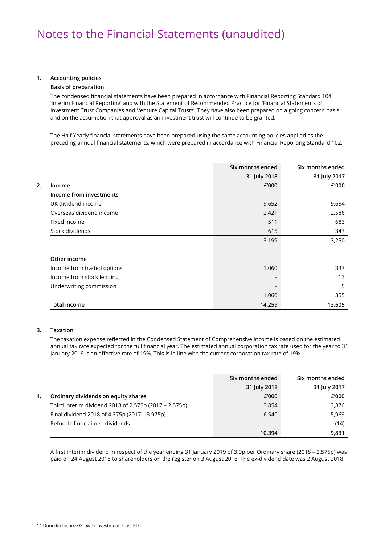#### **1. Accounting policies**

#### **Basis of preparation**

The condensed financial statements have been prepared in accordance with Financial Reporting Standard 104 'Interim Financial Reporting' and with the Statement of Recommended Practice for 'Financial Statements of Investment Trust Companies and Venture Capital Trusts'. They have also been prepared on a going concern basis and on the assumption that approval as an investment trust will continue to be granted.

The Half Yearly financial statements have been prepared using the same accounting policies applied as the preceding annual financial statements, which were prepared in accordance with Financial Reporting Standard 102.

|                            | Six months ended | Six months ended |
|----------------------------|------------------|------------------|
|                            | 31 July 2018     | 31 July 2017     |
| Income                     | £'000            | £'000            |
| Income from investments    |                  |                  |
| UK dividend income         | 9,652            | 9,634            |
| Overseas dividend income   | 2,421            | 2,586            |
| Fixed income               | 511              | 683              |
| Stock dividends            | 615              | 347              |
|                            | 13,199           | 13,250           |
| Other income               |                  |                  |
| Income from traded options | 1,060            | 337              |
| Income from stock lending  |                  | 13               |
| Underwriting commission    |                  | 5                |
|                            | 1,060            | 355              |
| <b>Total income</b>        | 14,259           | 13,605           |

#### **3. Taxation**

 The taxation expense reflected in the Condensed Statement of Comprehensive Income is based on the estimated annual tax rate expected for the full financial year. The estimated annual corporation tax rate used for the year to 31 January 2019 is an effective rate of 19%. This is in line with the current corporation tax rate of 19%.

|    |                                                       | Six months ended | Six months ended |
|----|-------------------------------------------------------|------------------|------------------|
|    |                                                       | 31 July 2018     | 31 July 2017     |
| 4. | Ordinary dividends on equity shares                   | £'000            | £'000            |
|    | Third interim dividend 2018 of 2.575p (2017 - 2.575p) | 3,854            | 3,876            |
|    | Final dividend 2018 of 4.375p (2017 - 3.975p)         | 6,540            | 5,969            |
|    | Refund of unclaimed dividends                         |                  | (14)             |
|    |                                                       | 10.394           | 9,831            |

 A first interim dividend in respect of the year ending 31 January 2019 of 3.0p per Ordinary share (2018 – 2.575p) was paid on 24 August 2018 to shareholders on the register on 3 August 2018. The ex-dividend date was 2 August 2018.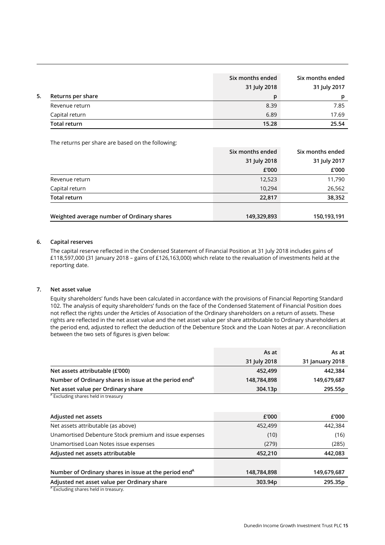|    |                     | Six months ended<br>31 July 2018 | Six months ended<br>31 July 2017 |
|----|---------------------|----------------------------------|----------------------------------|
| 5. | Returns per share   | n                                | D                                |
|    | Revenue return      | 8.39                             | 7.85                             |
|    | Capital return      | 6.89                             | 17.69                            |
|    | <b>Total return</b> | 15.28                            | 25.54                            |

The returns per share are based on the following:

|                                            | Six months ended | Six months ended |
|--------------------------------------------|------------------|------------------|
|                                            | 31 July 2018     | 31 July 2017     |
|                                            | £'000            | £'000            |
| Revenue return                             | 12,523           | 11,790           |
| Capital return                             | 10,294           | 26,562           |
| Total return                               | 22,817           | 38,352           |
|                                            |                  |                  |
| Weighted average number of Ordinary shares | 149,329,893      | 150,193,191      |

#### **6. Capital reserves**

The capital reserve reflected in the Condensed Statement of Financial Position at 31 July 2018 includes gains of £118,597,000 (31 January 2018 – gains of £126,163,000) which relate to the revaluation of investments held at the reporting date.

#### **7. Net asset value**

Equity shareholders' funds have been calculated in accordance with the provisions of Financial Reporting Standard 102. The analysis of equity shareholders' funds on the face of the Condensed Statement of Financial Position does not reflect the rights under the Articles of Association of the Ordinary shareholders on a return of assets. These rights are reflected in the net asset value and the net asset value per share attributable to Ordinary shareholders at the period end, adjusted to reflect the deduction of the Debenture Stock and the Loan Notes at par. A reconciliation between the two sets of figures is given below:

|                                                                   | As at        | As at           |
|-------------------------------------------------------------------|--------------|-----------------|
|                                                                   | 31 July 2018 | 31 January 2018 |
| Net assets attributable (£'000)                                   | 452,499      | 442,384         |
| Number of Ordinary shares in issue at the period end <sup>A</sup> | 148,784,898  | 149,679,687     |
| Net asset value per Ordinary share                                | 304.13p      | 295.55p         |
| <sup>A</sup> Excluding shares held in treasury                    |              |                 |
|                                                                   |              |                 |
| Adjusted net assets                                               | £'000        | £'000           |
| Net assets attributable (as above)                                | 452,499      | 442,384         |
| Unamortised Debenture Stock premium and issue expenses            | (10)         | (16)            |
| Unamortised Loan Notes issue expenses                             | (279)        | (285)           |
| Adjusted net assets attributable                                  | 452,210      | 442,083         |
|                                                                   |              |                 |
| Number of Ordinary shares in issue at the period end <sup>A</sup> | 148,784,898  | 149,679,687     |
| Adjusted net asset value per Ordinary share                       | 303.94p      | 295.35p         |
| A minutes and a secretaristic con-                                |              |                 |

<sup>A</sup> Excluding shares held in treasury.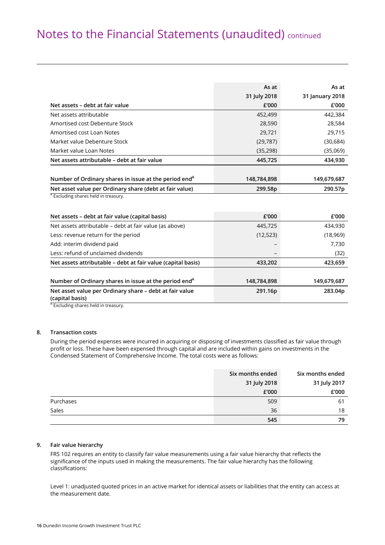### Notes to the Financial Statements (unaudited) continued

|                                                                            | As at        | As at           |
|----------------------------------------------------------------------------|--------------|-----------------|
|                                                                            | 31 July 2018 | 31 January 2018 |
| Net assets – debt at fair value                                            | £'000        | £'000           |
| Net assets attributable                                                    | 452,499      | 442,384         |
| Amortised cost Debenture Stock                                             | 28,590       | 28,584          |
| Amortised cost Loan Notes                                                  | 29,721       | 29,715          |
| Market value Debenture Stock                                               | (29, 787)    | (30, 684)       |
| Market value Loan Notes                                                    | (35, 298)    | (35,069)        |
| Net assets attributable - debt at fair value                               | 445,725      | 434,930         |
|                                                                            |              |                 |
| Number of Ordinary shares in issue at the period end <sup>A</sup>          | 148,784,898  | 149,679,687     |
| Net asset value per Ordinary share (debt at fair value)                    | 299.58p      | 290.57p         |
| <sup>A</sup> Excluding shares held in treasury.                            |              |                 |
| Net assets - debt at fair value (capital basis)                            | £'000        | £'000           |
| Net assets attributable – debt at fair value (as above)                    | 445,725      | 434,930         |
| Less: revenue return for the period                                        | (12, 523)    | (18,969)        |
| Add: interim dividend paid                                                 |              | 7,730           |
| Less: refund of unclaimed dividends                                        |              | (32)            |
| Net assets attributable – debt at fair value (capital basis)               | 433,202      | 423,659         |
|                                                                            |              |                 |
| Number of Ordinary shares in issue at the period end <sup>A</sup>          | 148,784,898  | 149,679,687     |
| Net asset value per Ordinary share – debt at fair value<br>(capital basis) | 291.16p      | 283.04p         |

<sup>A</sup> Excluding shares held in treasury.

#### **8. Transaction costs**

During the period expenses were incurred in acquiring or disposing of investments classified as fair value through profit or loss. These have been expensed through capital and are included within gains on investments in the Condensed Statement of Comprehensive Income. The total costs were as follows:

|           | Six months ended | Six months ended |
|-----------|------------------|------------------|
|           | 31 July 2018     | 31 July 2017     |
|           | £'000            | £'000            |
| Purchases | 509              | 61               |
| Sales     | 36               | 18               |
|           | 545              | 79               |

#### **9. Fair value hierarchy**

FRS 102 requires an entity to classify fair value measurements using a fair value hierarchy that reflects the significance of the inputs used in making the measurements. The fair value hierarchy has the following classifications:

 Level 1: unadjusted quoted prices in an active market for identical assets or liabilities that the entity can access at the measurement date.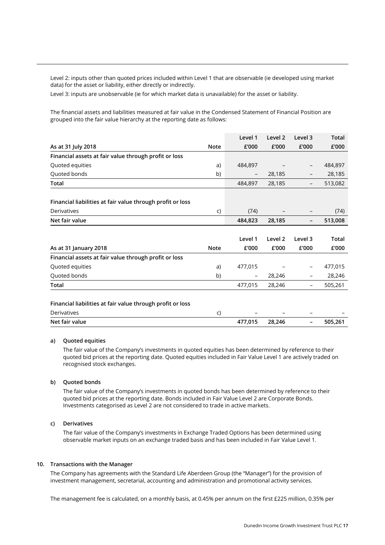Level 2: inputs other than quoted prices included within Level 1 that are observable (ie developed using market data) for the asset or liability, either directly or indirectly.

Level 3: inputs are unobservable (ie for which market data is unavailable) for the asset or liability.

 The financial assets and liabilities measured at fair value in the Condensed Statement of Financial Position are grouped into the fair value hierarchy at the reporting date as follows:

|                                                                                                                            |             | Level 1                  | Level <sub>2</sub>       | Level 3                  | <b>Total</b> |
|----------------------------------------------------------------------------------------------------------------------------|-------------|--------------------------|--------------------------|--------------------------|--------------|
| As at 31 July 2018                                                                                                         | <b>Note</b> | £'000                    | £'000                    | £'000                    | £'000        |
| Financial assets at fair value through profit or loss                                                                      |             |                          |                          |                          |              |
| Quoted equities                                                                                                            | a)          | 484,897                  |                          |                          | 484,897      |
| Quoted bonds                                                                                                               | b)          | $\overline{\phantom{a}}$ | 28,185                   |                          | 28,185       |
| <b>Total</b>                                                                                                               |             | 484,897                  | 28,185                   | $\overline{\phantom{0}}$ | 513,082      |
| Financial liabilities at fair value through profit or loss                                                                 |             |                          |                          |                          |              |
| <b>Derivatives</b>                                                                                                         | C)          | (74)                     |                          |                          | (74)         |
| Net fair value                                                                                                             |             | 484,823                  | 28,185                   | -                        | 513,008      |
|                                                                                                                            |             |                          |                          |                          |              |
|                                                                                                                            |             | Level 1                  | Level 2                  | Level 3                  | <b>Total</b> |
|                                                                                                                            |             |                          |                          |                          |              |
|                                                                                                                            | <b>Note</b> | £'000                    | £'000                    | £'000                    | £'000        |
|                                                                                                                            |             |                          |                          |                          |              |
|                                                                                                                            | a)          | 477,015                  |                          |                          | 477,015      |
|                                                                                                                            | b)          | $\qquad \qquad -$        | 28,246                   |                          | 28,246       |
| As at 31 January 2018<br>Financial assets at fair value through profit or loss<br>Quoted equities<br>Quoted bonds<br>Total |             | 477,015                  | 28,246                   | -                        | 505,261      |
| Financial liabilities at fair value through profit or loss                                                                 |             |                          |                          |                          |              |
| <b>Derivatives</b>                                                                                                         | C)          |                          | $\overline{\phantom{0}}$ |                          |              |

#### **a) Quoted equities**

 The fair value of the Company's investments in quoted equities has been determined by reference to their quoted bid prices at the reporting date. Quoted equities included in Fair Value Level 1 are actively traded on recognised stock exchanges.

#### **b) Quoted bonds**

 The fair value of the Company's investments in quoted bonds has been determined by reference to their quoted bid prices at the reporting date. Bonds included in Fair Value Level 2 are Corporate Bonds. Investments categorised as Level 2 are not considered to trade in active markets.

#### **c) Derivatives**

 The fair value of the Company's investments in Exchange Traded Options has been determined using observable market inputs on an exchange traded basis and has been included in Fair Value Level 1.

#### **10. Transactions with the Manager**

The Company has agreements with the Standard Life Aberdeen Group (the "Manager") for the provision of investment management, secretarial, accounting and administration and promotional activity services.

The management fee is calculated, on a monthly basis, at 0.45% per annum on the first £225 million, 0.35% per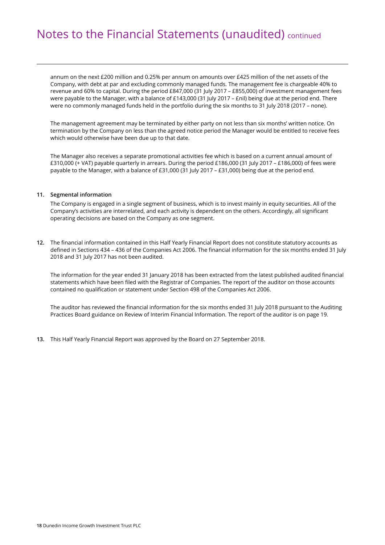### Notes to the Financial Statements (unaudited) continued

annum on the next £200 million and 0.25% per annum on amounts over £425 million of the net assets of the Company, with debt at par and excluding commonly managed funds. The management fee is chargeable 40% to revenue and 60% to capital. During the period £847,000 (31 July 2017 – £855,000) of investment management fees were payable to the Manager, with a balance of £143,000 (31 July 2017 – £nil) being due at the period end. There were no commonly managed funds held in the portfolio during the six months to 31 July 2018 (2017 – none).

 The management agreement may be terminated by either party on not less than six months' written notice. On termination by the Company on less than the agreed notice period the Manager would be entitled to receive fees which would otherwise have been due up to that date.

 The Manager also receives a separate promotional activities fee which is based on a current annual amount of £310,000 (+ VAT) payable quarterly in arrears. During the period £186,000 (31 July 2017 – £186,000) of fees were payable to the Manager, with a balance of £31,000 (31 July 2017 – £31,000) being due at the period end.

#### **11. Segmental information**

The Company is engaged in a single segment of business, which is to invest mainly in equity securities. All of the Company's activities are interrelated, and each activity is dependent on the others. Accordingly, all significant operating decisions are based on the Company as one segment.

**12.** The financial information contained in this Half Yearly Financial Report does not constitute statutory accounts as defined in Sections 434 – 436 of the Companies Act 2006. The financial information for the six months ended 31 July 2018 and 31 July 2017 has not been audited.

 The information for the year ended 31 January 2018 has been extracted from the latest published audited financial statements which have been filed with the Registrar of Companies. The report of the auditor on those accounts contained no qualification or statement under Section 498 of the Companies Act 2006.

 The auditor has reviewed the financial information for the six months ended 31 July 2018 pursuant to the Auditing Practices Board guidance on Review of Interim Financial Information. The report of the auditor is on page 19.

**13.** This Half Yearly Financial Report was approved by the Board on 27 September 2018.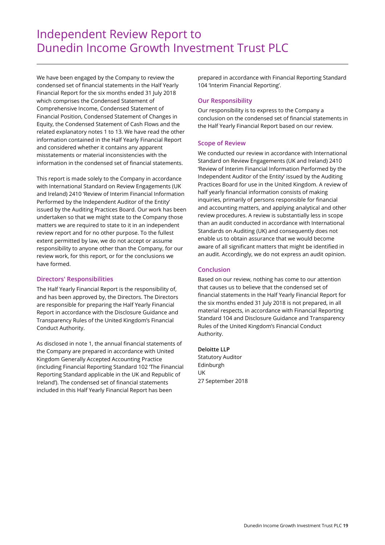### Independent Review Report to Dunedin Income Growth Investment Trust PLC

We have been engaged by the Company to review the condensed set of financial statements in the Half Yearly Financial Report for the six months ended 31 July 2018 which comprises the Condensed Statement of Comprehensive Income, Condensed Statement of Financial Position, Condensed Statement of Changes in Equity, the Condensed Statement of Cash Flows and the related explanatory notes 1 to 13. We have read the other information contained in the Half Yearly Financial Report and considered whether it contains any apparent misstatements or material inconsistencies with the information in the condensed set of financial statements.

This report is made solely to the Company in accordance with International Standard on Review Engagements (UK and Ireland) 2410 'Review of Interim Financial Information Performed by the Independent Auditor of the Entity' issued by the Auditing Practices Board. Our work has been undertaken so that we might state to the Company those matters we are required to state to it in an independent review report and for no other purpose. To the fullest extent permitted by law, we do not accept or assume responsibility to anyone other than the Company, for our review work, for this report, or for the conclusions we have formed.

#### **Directors' Responsibilities**

The Half Yearly Financial Report is the responsibility of, and has been approved by, the Directors. The Directors are responsible for preparing the Half Yearly Financial Report in accordance with the Disclosure Guidance and Transparency Rules of the United Kingdom's Financial Conduct Authority.

As disclosed in note 1, the annual financial statements of the Company are prepared in accordance with United Kingdom Generally Accepted Accounting Practice (including Financial Reporting Standard 102 'The Financial Reporting Standard applicable in the UK and Republic of Ireland'). The condensed set of financial statements included in this Half Yearly Financial Report has been

prepared in accordance with Financial Reporting Standard 104 'Interim Financial Reporting'.

#### **Our Responsibility**

Our responsibility is to express to the Company a conclusion on the condensed set of financial statements in the Half Yearly Financial Report based on our review.

#### **Scope of Review**

We conducted our review in accordance with International Standard on Review Engagements (UK and Ireland) 2410 'Review of Interim Financial Information Performed by the Independent Auditor of the Entity' issued by the Auditing Practices Board for use in the United Kingdom. A review of half yearly financial information consists of making inquiries, primarily of persons responsible for financial and accounting matters, and applying analytical and other review procedures. A review is substantially less in scope than an audit conducted in accordance with International Standards on Auditing (UK) and consequently does not enable us to obtain assurance that we would become aware of all significant matters that might be identified in an audit. Accordingly, we do not express an audit opinion.

#### **Conclusion**

Based on our review, nothing has come to our attention that causes us to believe that the condensed set of financial statements in the Half Yearly Financial Report for the six months ended 31 July 2018 is not prepared, in all material respects, in accordance with Financial Reporting Standard 104 and Disclosure Guidance and Transparency Rules of the United Kingdom's Financial Conduct Authority.

#### **Deloitte LLP**

Statutory Auditor Edinburgh UK 27 September 2018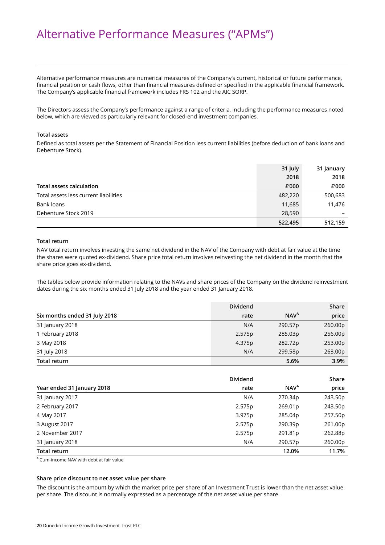### Alternative Performance Measures ("APMs")

Alternative performance measures are numerical measures of the Company's current, historical or future performance, financial position or cash flows, other than financial measures defined or specified in the applicable financial framework. The Company's applicable financial framework includes FRS 102 and the AIC SORP.

The Directors assess the Company's performance against a range of criteria, including the performance measures noted below, which are viewed as particularly relevant for closed-end investment companies.

#### **Total assets**

Defined as total assets per the Statement of Financial Position less current liabilities (before deduction of bank loans and Debenture Stock).

|                                       | 31 July | 31 January |
|---------------------------------------|---------|------------|
|                                       | 2018    | 2018       |
| Total assets calculation              | £'000   | £'000      |
| Total assets less current liabilities | 482,220 | 500,683    |
| Bank loans                            | 11,685  | 11,476     |
| Debenture Stock 2019                  | 28,590  |            |
|                                       | 522,495 | 512,159    |

#### **Total return**

NAV total return involves investing the same net dividend in the NAV of the Company with debt at fair value at the time the shares were quoted ex-dividend. Share price total return involves reinvesting the net dividend in the month that the share price goes ex-dividend.

The tables below provide information relating to the NAVs and share prices of the Company on the dividend reinvestment dates during the six months ended 31 July 2018 and the year ended 31 January 2018.

|                               | <b>Dividend</b> |                  | Share   |
|-------------------------------|-----------------|------------------|---------|
| Six months ended 31 July 2018 | rate            | NAV <sup>A</sup> | price   |
| 31 January 2018               | N/A             | 290.57p          | 260.00p |
| 1 February 2018               | 2.575p          | 285.03p          | 256.00p |
| 3 May 2018                    | 4.375p          | 282.72p          | 253.00p |
| 31 July 2018                  | N/A             | 299.58p          | 263.00p |
| <b>Total return</b>           |                 | 5.6%             | 3.9%    |

|                            | <b>Dividend</b> |                        | Share   |
|----------------------------|-----------------|------------------------|---------|
| Year ended 31 January 2018 | rate            | <b>NAV<sup>A</sup></b> | price   |
| 31 January 2017            | N/A             | 270.34p                | 243.50p |
| 2 February 2017            | 2.575p          | 269.01p                | 243.50p |
| 4 May 2017                 | 3.975p          | 285.04p                | 257.50p |
| 3 August 2017              | 2.575p          | 290.39p                | 261.00p |
| 2 November 2017            | 2.575p          | 291.81p                | 262.88p |
| 31 January 2018            | N/A             | 290.57p                | 260.00p |
| <b>Total return</b>        |                 | 12.0%                  | 11.7%   |

A Cum-income NAV with debt at fair value

#### **Share price discount to net asset value per share**

The discount is the amount by which the market price per share of an Investment Trust is lower than the net asset value per share. The discount is normally expressed as a percentage of the net asset value per share.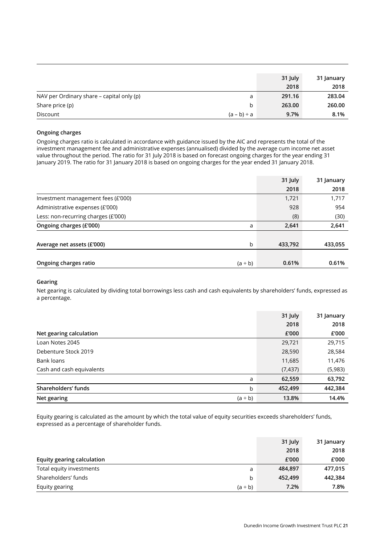|                                           |                  | 31 July | 31 January |
|-------------------------------------------|------------------|---------|------------|
|                                           |                  | 2018    | 2018       |
| NAV per Ordinary share – capital only (p) | a                | 291.16  | 283.04     |
| Share price (p)                           | b                | 263.00  | 260.00     |
| Discount                                  | $(a - b) \div a$ | 9.7%    | 8.1%       |

#### **Ongoing charges**

Ongoing charges ratio is calculated in accordance with guidance issued by the AIC and represents the total of the investment management fee and administrative expenses (annualised) divided by the average cum income net asset value throughout the period. The ratio for 31 July 2018 is based on forecast ongoing charges for the year ending 31 January 2019. The ratio for 31 January 2018 is based on ongoing charges for the year ended 31 January 2018.

|                                       | 31 July | 31 January |
|---------------------------------------|---------|------------|
|                                       | 2018    | 2018       |
| Investment management fees (£'000)    | 1,721   | 1,717      |
| Administrative expenses (£'000)       | 928     | 954        |
| Less: non-recurring charges (£'000)   | (8)     | (30)       |
| Ongoing charges (£'000)<br>a          | 2,641   | 2,641      |
|                                       |         |            |
| b<br>Average net assets (£'000)       | 433,792 | 433,055    |
|                                       |         |            |
| Ongoing charges ratio<br>$(a \div b)$ | 0.61%   | 0.61%      |

#### **Gearing**

Net gearing is calculated by dividing total borrowings less cash and cash equivalents by shareholders' funds, expressed as a percentage.

|                             | 31 July  | 31 January |
|-----------------------------|----------|------------|
|                             | 2018     | 2018       |
| Net gearing calculation     | £'000    | £'000      |
| Loan Notes 2045             | 29,721   | 29,715     |
| Debenture Stock 2019        | 28,590   | 28,584     |
| Bank loans                  | 11,685   | 11,476     |
| Cash and cash equivalents   | (7, 437) | (5,983)    |
| a                           | 62,559   | 63,792     |
| Shareholders' funds<br>b    | 452,499  | 442,384    |
| Net gearing<br>$(a \div b)$ | 13.8%    | 14.4%      |

Equity gearing is calculated as the amount by which the total value of equity securities exceeds shareholders' funds, expressed as a percentage of shareholder funds.

|                                | 31 July | 31 January |
|--------------------------------|---------|------------|
|                                | 2018    | 2018       |
| Equity gearing calculation     | £'000   | £'000      |
| Total equity investments<br>a  | 484,897 | 477,015    |
| Shareholders' funds<br>b       | 452,499 | 442,384    |
| Equity gearing<br>$(a \div b)$ | 7.2%    | 7.8%       |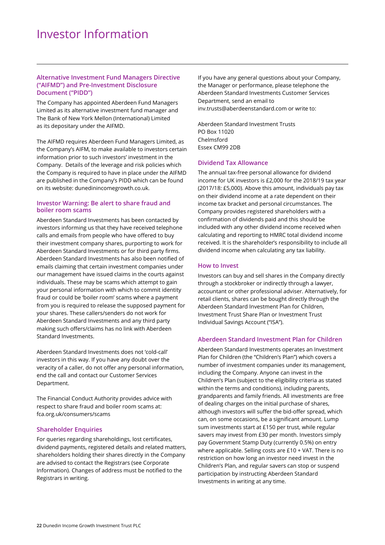#### **Alternative Investment Fund Managers Directive ("AIFMD") and Pre-Investment Disclosure Document ("PIDD")**

The Company has appointed Aberdeen Fund Managers Limited as its alternative investment fund manager and The Bank of New York Mellon (International) Limited as its depositary under the AIFMD.

The AIFMD requires Aberdeen Fund Managers Limited, as the Company's AIFM, to make available to investors certain information prior to such investors' investment in the Company. Details of the leverage and risk policies which the Company is required to have in place under the AIFMD are published in the Company's PIDD which can be found on its website: dunedinincomegrowth.co.uk.

#### **Investor Warning: Be alert to share fraud and boiler room scams**

Aberdeen Standard Investments has been contacted by investors informing us that they have received telephone calls and emails from people who have offered to buy their investment company shares, purporting to work for Aberdeen Standard Investments or for third party firms. Aberdeen Standard Investments has also been notified of emails claiming that certain investment companies under our management have issued claims in the courts against individuals. These may be scams which attempt to gain your personal information with which to commit identity fraud or could be 'boiler room' scams where a payment from you is required to release the supposed payment for your shares. These callers/senders do not work for Aberdeen Standard Investments and any third party making such offers/claims has no link with Aberdeen Standard Investments.

Aberdeen Standard Investments does not 'cold-call' investors in this way. If you have any doubt over the veracity of a caller, do not offer any personal information, end the call and contact our Customer Services Department.

The Financial Conduct Authority provides advice with respect to share fraud and boiler room scams at: fca.org.uk/consumers/scams

#### **Shareholder Enquiries**

For queries regarding shareholdings, lost certificates, dividend payments, registered details and related matters, shareholders holding their shares directly in the Company are advised to contact the Registrars (see Corporate Information). Changes of address must be notified to the Registrars in writing.

If you have any general questions about your Company, the Manager or performance, please telephone the Aberdeen Standard Investments Customer Services Department, send an email to inv.trusts@aberdeenstandard.com or write to:

Aberdeen Standard Investment Trusts PO Box 11020 Chelmsford Essex CM99 2DB

#### **Dividend Tax Allowance**

The annual tax-free personal allowance for dividend income for UK investors is £2,000 for the 2018/19 tax year (2017/18: £5,000). Above this amount, individuals pay tax on their dividend income at a rate dependent on their income tax bracket and personal circumstances. The Company provides registered shareholders with a confirmation of dividends paid and this should be included with any other dividend income received when calculating and reporting to HMRC total dividend income received. It is the shareholder's responsibility to include all dividend income when calculating any tax liability.

#### **How to Invest**

Investors can buy and sell shares in the Company directly through a stockbroker or indirectly through a lawyer, accountant or other professional adviser. Alternatively, for retail clients, shares can be bought directly through the Aberdeen Standard Investment Plan for Children, Investment Trust Share Plan or Investment Trust Individual Savings Account ("ISA").

#### **Aberdeen Standard Investment Plan for Children**

Aberdeen Standard Investments operates an Investment Plan for Children (the "Children's Plan") which covers a number of investment companies under its management, including the Company. Anyone can invest in the Children's Plan (subject to the eligibility criteria as stated within the terms and conditions), including parents, grandparents and family friends. All investments are free of dealing charges on the initial purchase of shares, although investors will suffer the bid-offer spread, which can, on some occasions, be a significant amount. Lump sum investments start at £150 per trust, while regular savers may invest from £30 per month. Investors simply pay Government Stamp Duty (currently 0.5%) on entry where applicable. Selling costs are £10 + VAT. There is no restriction on how long an investor need invest in the Children's Plan, and regular savers can stop or suspend participation by instructing Aberdeen Standard Investments in writing at any time.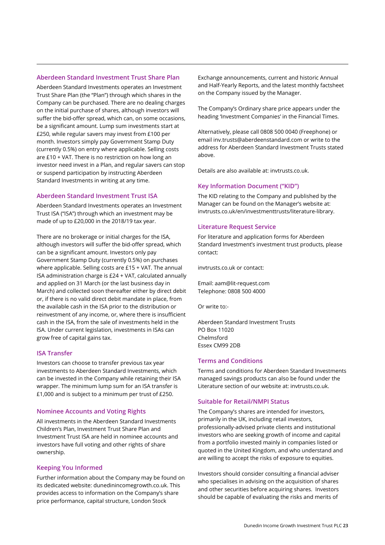#### **Aberdeen Standard Investment Trust Share Plan**

Aberdeen Standard Investments operates an Investment Trust Share Plan (the "Plan") through which shares in the Company can be purchased. There are no dealing charges on the initial purchase of shares, although investors will suffer the bid-offer spread, which can, on some occasions, be a significant amount. Lump sum investments start at £250, while regular savers may invest from £100 per month. Investors simply pay Government Stamp Duty (currently 0.5%) on entry where applicable. Selling costs are £10 + VAT. There is no restriction on how long an investor need invest in a Plan, and regular savers can stop or suspend participation by instructing Aberdeen Standard Investments in writing at any time.

#### **Aberdeen Standard Investment Trust ISA**

Aberdeen Standard Investments operates an Investment Trust ISA ("ISA") through which an investment may be made of up to £20,000 in the 2018/19 tax year.

There are no brokerage or initial charges for the ISA, although investors will suffer the bid-offer spread, which can be a significant amount. Investors only pay Government Stamp Duty (currently 0.5%) on purchases where applicable. Selling costs are £15 + VAT. The annual ISA administration charge is £24 + VAT, calculated annually and applied on 31 March (or the last business day in March) and collected soon thereafter either by direct debit or, if there is no valid direct debit mandate in place, from the available cash in the ISA prior to the distribution or reinvestment of any income, or, where there is insufficient cash in the ISA, from the sale of investments held in the ISA. Under current legislation, investments in ISAs can grow free of capital gains tax.

#### **ISA Transfer**

Investors can choose to transfer previous tax year investments to Aberdeen Standard Investments, which can be invested in the Company while retaining their ISA wrapper. The minimum lump sum for an ISA transfer is £1,000 and is subject to a minimum per trust of £250.

#### **Nominee Accounts and Voting Rights**

All investments in the Aberdeen Standard Investments Children's Plan, Investment Trust Share Plan and Investment Trust ISA are held in nominee accounts and investors have full voting and other rights of share ownership.

#### **Keeping You Informed**

Further information about the Company may be found on its dedicated website: dunedinincomegrowth.co.uk. This provides access to information on the Company's share price performance, capital structure, London Stock

Exchange announcements, current and historic Annual and Half-Yearly Reports, and the latest monthly factsheet on the Company issued by the Manager.

The Company's Ordinary share price appears under the heading 'Investment Companies' in the Financial Times.

Alternatively, please call 0808 500 0040 (Freephone) or email inv.trusts@aberdeenstandard.com or write to the address for Aberdeen Standard Investment Trusts stated above.

Details are also available at: invtrusts.co.uk.

#### **Key Information Document ("KID")**

The KID relating to the Company and published by the Manager can be found on the Manager's website at: invtrusts.co.uk/en/investmenttrusts/literature-library.

#### **Literature Request Service**

For literature and application forms for Aberdeen Standard Investment's investment trust products, please contact:

invtrusts.co.uk or contact:

Email: aam@lit-request.com Telephone: 0808 500 4000

Or write to:-

Aberdeen Standard Investment Trusts PO Box 11020 Chelmsford Essex CM99 2DB

#### **Terms and Conditions**

Terms and conditions for Aberdeen Standard Investments managed savings products can also be found under the Literature section of our website at: invtrusts.co.uk.

#### **Suitable for Retail/NMPI Status**

The Company's shares are intended for investors, primarily in the UK, including retail investors, professionally-advised private clients and institutional investors who are seeking growth of income and capital from a portfolio invested mainly in companies listed or quoted in the United Kingdom, and who understand and are willing to accept the risks of exposure to equities.

Investors should consider consulting a financial adviser who specialises in advising on the acquisition of shares and other securities before acquiring shares. Investors should be capable of evaluating the risks and merits of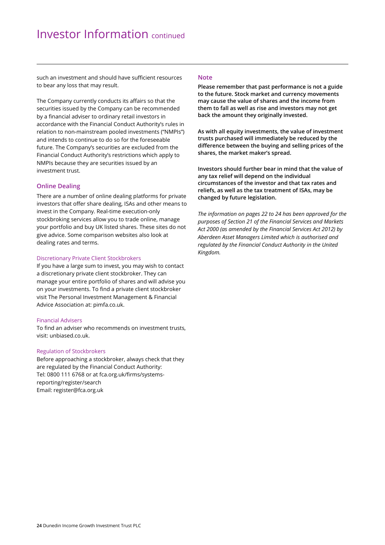such an investment and should have sufficient resources to bear any loss that may result.

The Company currently conducts its affairs so that the securities issued by the Company can be recommended by a financial adviser to ordinary retail investors in accordance with the Financial Conduct Authority's rules in relation to non-mainstream pooled investments ("NMPIs") and intends to continue to do so for the foreseeable future. The Company's securities are excluded from the Financial Conduct Authority's restrictions which apply to NMPIs because they are securities issued by an investment trust.

#### **Online Dealing**

There are a number of online dealing platforms for private investors that offer share dealing, ISAs and other means to invest in the Company. Real-time execution-only stockbroking services allow you to trade online, manage your portfolio and buy UK listed shares. These sites do not give advice. Some comparison websites also look at dealing rates and terms.

#### Discretionary Private Client Stockbrokers

If you have a large sum to invest, you may wish to contact a discretionary private client stockbroker. They can manage your entire portfolio of shares and will advise you on your investments. To find a private client stockbroker visit The Personal Investment Management & Financial Advice Association at: pimfa.co.uk.

#### Financial Advisers

To find an adviser who recommends on investment trusts, visit: unbiased.co.uk.

#### Regulation of Stockbrokers

Before approaching a stockbroker, always check that they are regulated by the Financial Conduct Authority: Tel: 0800 111 6768 or at fca.org.uk/firms/systemsreporting/register/search Email: register@fca.org.uk

#### **Note**

**Please remember that past performance is not a guide to the future. Stock market and currency movements may cause the value of shares and the income from them to fall as well as rise and investors may not get back the amount they originally invested.** 

**As with all equity investments, the value of investment trusts purchased will immediately be reduced by the difference between the buying and selling prices of the shares, the market maker's spread.** 

**Investors should further bear in mind that the value of any tax relief will depend on the individual circumstances of the investor and that tax rates and reliefs, as well as the tax treatment of ISAs, may be changed by future legislation.** 

*The information on pages 22 to 24 has been approved for the purposes of Section 21 of the Financial Services and Markets Act 2000 (as amended by the Financial Services Act 2012) by Aberdeen Asset Managers Limited which is authorised and regulated by the Financial Conduct Authority in the United Kingdom.*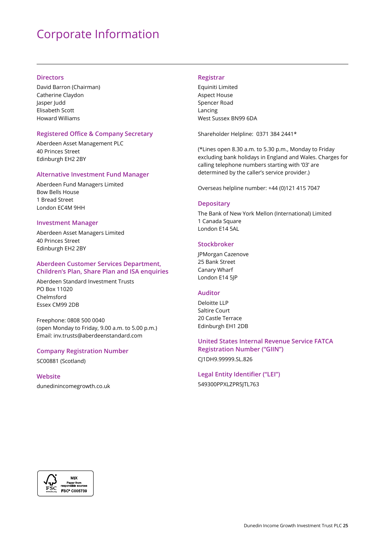### Corporate Information

#### **Directors**

David Barron (Chairman) Catherine Claydon Jasper Judd Elisabeth Scott Howard Williams

#### **Registered Office & Company Secretary**

Aberdeen Asset Management PLC 40 Princes Street Edinburgh EH2 2BY

#### **Alternative Investment Fund Manager**

Aberdeen Fund Managers Limited Bow Bells House 1 Bread Street London EC4M 9HH

#### **Investment Manager**

Aberdeen Asset Managers Limited 40 Princes Street Edinburgh EH2 2BY

#### **Aberdeen Customer Services Department, Children's Plan, Share Plan and ISA enquiries**

Aberdeen Standard Investment Trusts PO Box 11020 Chelmsford Essex CM99 2DB

Freephone: 0808 500 0040 (open Monday to Friday, 9.00 a.m. to 5.00 p.m.) Email: inv.trusts@aberdeenstandard.com

#### **Company Registration Number**

SC00881 (Scotland)

### **Website**

dunedinincomegrowth.co.uk

#### **Registrar**

Equiniti Limited Aspect House Spencer Road Lancing West Sussex BN99 6DA

Shareholder Helpline: 0371 384 2441\*

(\*Lines open 8.30 a.m. to 5.30 p.m., Monday to Friday excluding bank holidays in England and Wales. Charges for calling telephone numbers starting with '03' are determined by the caller's service provider.)

Overseas helpline number: +44 (0)121 415 7047

#### **Depositary**

The Bank of New York Mellon (International) Limited 1 Canada Square London E14 5AL

#### **Stockbroker**

JPMorgan Cazenove 25 Bank Street Canary Wharf London E14 5JP

#### **Auditor**

Deloitte LLP Saltire Court 20 Castle Terrace Edinburgh EH1 2DB

#### **United States Internal Revenue Service FATCA**

**Registration Number ("GIIN")** 

CJ1DH9.99999.SL.826

**Legal Entity Identifier ("LEI")**  549300PPXLZPR5JTL763